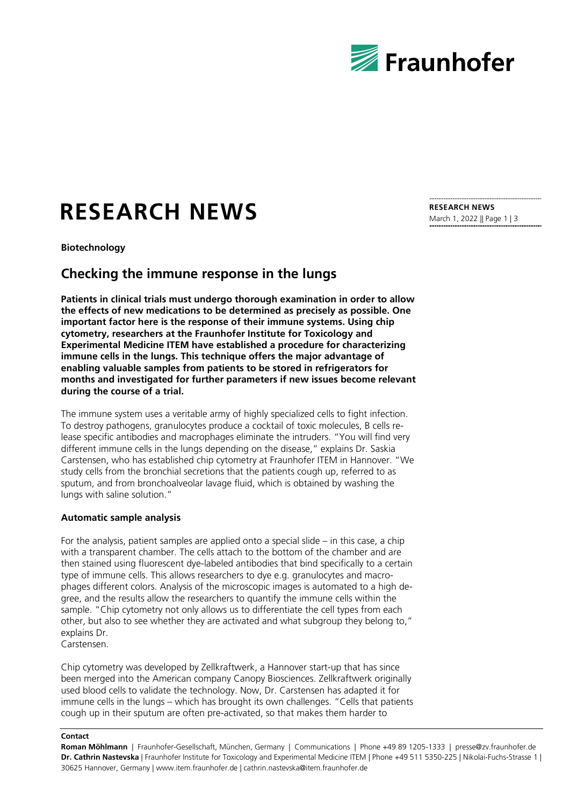

# **RESEARCH NEWS**

**Biotechnology**

# **Checking the immune response in the lungs**

**Patients in clinical trials must undergo thorough examination in order to allow the effects of new medications to be determined as precisely as possible. One important factor here is the response of their immune systems. Using chip cytometry, researchers at the Fraunhofer Institute for Toxicology and Experimental Medicine ITEM have established a procedure for characterizing immune cells in the lungs. This technique offers the major advantage of enabling valuable samples from patients to be stored in refrigerators for months and investigated for further parameters if new issues become relevant during the course of a trial.** 

The immune system uses a veritable army of highly specialized cells to fight infection. To destroy pathogens, granulocytes produce a cocktail of toxic molecules, B cells release specific antibodies and macrophages eliminate the intruders. "You will find very different immune cells in the lungs depending on the disease," explains Dr. Saskia Carstensen, who has established chip cytometry at Fraunhofer ITEM in Hannover. "We study cells from the bronchial secretions that the patients cough up, referred to as sputum, and from bronchoalveolar lavage fluid, which is obtained by washing the lungs with saline solution."

## **Automatic sample analysis**

For the analysis, patient samples are applied onto a special slide – in this case, a chip with a transparent chamber. The cells attach to the bottom of the chamber and are then stained using fluorescent dye-labeled antibodies that bind specifically to a certain type of immune cells. This allows researchers to dye e.g. granulocytes and macrophages different colors. Analysis of the microscopic images is automated to a high degree, and the results allow the researchers to quantify the immune cells within the sample. "Chip cytometry not only allows us to differentiate the cell types from each other, but also to see whether they are activated and what subgroup they belong to," explains Dr.

Carstensen.

Chip cytometry was developed by Zellkraftwerk, a Hannover start-up that has since been merged into the American company Canopy Biosciences. Zellkraftwerk originally used blood cells to validate the technology. Now, Dr. Carstensen has adapted it for immune cells in the lungs – which has brought its own challenges. "Cells that patients cough up in their sputum are often pre-activated, so that makes them harder to

#### **Contact**

**Roman Möhlmann** | Fraunhofer-Gesellschaft, München, Germany | Communications | Phone +49 89 1205-1333 | presse@zv.fraunhofer.de **Dr. Cathrin Nastevska** | Fraunhofer Institute for Toxicology and Experimental Medicine ITEM | Phone +49 511 5350-225 | Nikolai-Fuchs-Strasse 1 | 30625 Hannover, Germany | www.item.fraunhofer.de | cathrin.nastevska@item.fraunhofer.de

**RESEARCH NEWS** March 1, 2022 || Page 1 | 3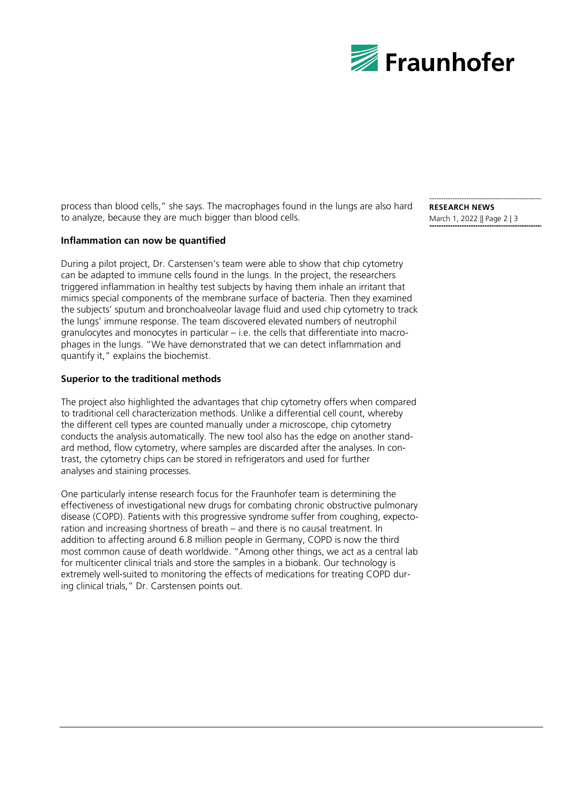

process than blood cells," she says. The macrophages found in the lungs are also hard to analyze, because they are much bigger than blood cells.

# **Inflammation can now be quantified**

During a pilot project, Dr. Carstensen's team were able to show that chip cytometry can be adapted to immune cells found in the lungs. In the project, the researchers triggered inflammation in healthy test subjects by having them inhale an irritant that mimics special components of the membrane surface of bacteria. Then they examined the subjects' sputum and bronchoalveolar lavage fluid and used chip cytometry to track the lungs' immune response. The team discovered elevated numbers of neutrophil granulocytes and monocytes in particular – i.e. the cells that differentiate into macrophages in the lungs. "We have demonstrated that we can detect inflammation and quantify it," explains the biochemist.

## **Superior to the traditional methods**

The project also highlighted the advantages that chip cytometry offers when compared to traditional cell characterization methods. Unlike a differential cell count, whereby the different cell types are counted manually under a microscope, chip cytometry conducts the analysis automatically. The new tool also has the edge on another standard method, flow cytometry, where samples are discarded after the analyses. In contrast, the cytometry chips can be stored in refrigerators and used for further analyses and staining processes.

One particularly intense research focus for the Fraunhofer team is determining the effectiveness of investigational new drugs for combating chronic obstructive pulmonary disease (COPD). Patients with this progressive syndrome suffer from coughing, expectoration and increasing shortness of breath – and there is no causal treatment. In addition to affecting around 6.8 million people in Germany, COPD is now the third most common cause of death worldwide. "Among other things, we act as a central lab for multicenter clinical trials and store the samples in a biobank. Our technology is extremely well-suited to monitoring the effects of medications for treating COPD during clinical trials," Dr. Carstensen points out.

**RESEARCH NEWS** March 1, 2022 || Page 2 | 3